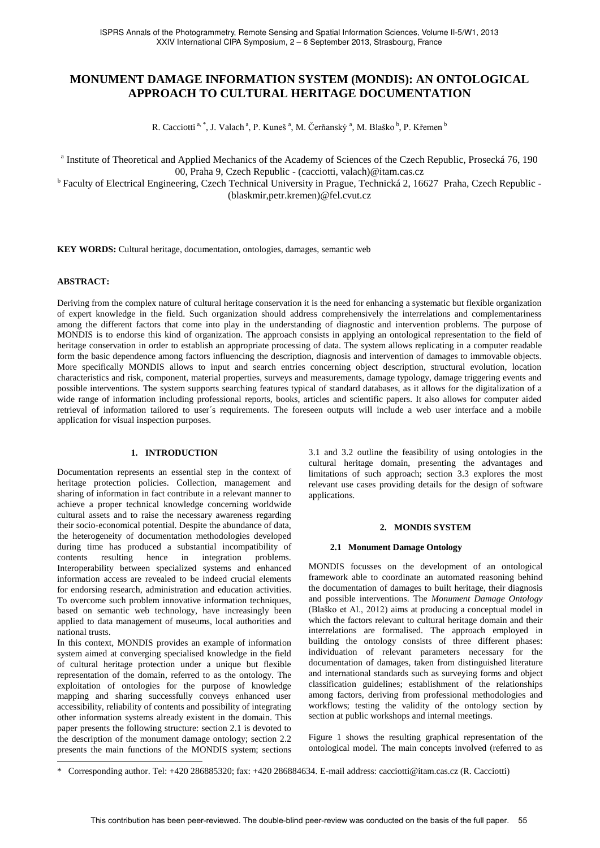# **MONUMENT DAMAGE INFORMATION SYSTEM (MONDIS): AN ONTOLOGICAL APPROACH TO CULTURAL HERITAGE DOCUMENTATION**

R. Cacciotti<sup>a, \*</sup>, J. Valach<sup>a</sup>, P. Kuneš<sup>a</sup>, M. Čerňanský<sup>a</sup>, M. Blaško<sup>b</sup>, P. Křemen<sup>b</sup>

<sup>a</sup> Institute of Theoretical and Applied Mechanics of the Academy of Sciences of the Czech Republic, Prosecká 76, 190 00, Praha 9, Czech Republic - (cacciotti, valach)@itam.cas.cz

<sup>b</sup> Faculty of Electrical Engineering, Czech Technical University in Prague, Technická 2, 16627 Praha, Czech Republic - (blaskmir,petr.kremen)@fel.cvut.cz

**KEY WORDS:** Cultural heritage, documentation, ontologies, damages, semantic web

#### **ABSTRACT:**

 $\overline{a}$ 

Deriving from the complex nature of cultural heritage conservation it is the need for enhancing a systematic but flexible organization of expert knowledge in the field. Such organization should address comprehensively the interrelations and complementariness among the different factors that come into play in the understanding of diagnostic and intervention problems. The purpose of MONDIS is to endorse this kind of organization. The approach consists in applying an ontological representation to the field of heritage conservation in order to establish an appropriate processing of data. The system allows replicating in a computer readable form the basic dependence among factors influencing the description, diagnosis and intervention of damages to immovable objects. More specifically MONDIS allows to input and search entries concerning object description, structural evolution, location characteristics and risk, component, material properties, surveys and measurements, damage typology, damage triggering events and possible interventions. The system supports searching features typical of standard databases, as it allows for the digitalization of a wide range of information including professional reports, books, articles and scientific papers. It also allows for computer aided retrieval of information tailored to user´s requirements. The foreseen outputs will include a web user interface and a mobile application for visual inspection purposes.

#### **1. INTRODUCTION**

Documentation represents an essential step in the context of heritage protection policies. Collection, management and sharing of information in fact contribute in a relevant manner to achieve a proper technical knowledge concerning worldwide cultural assets and to raise the necessary awareness regarding their socio-economical potential. Despite the abundance of data, the heterogeneity of documentation methodologies developed during time has produced a substantial incompatibility of contents resulting hence in integration problems. Interoperability between specialized systems and enhanced information access are revealed to be indeed crucial elements for endorsing research, administration and education activities. To overcome such problem innovative information techniques, based on semantic web technology, have increasingly been applied to data management of museums, local authorities and national trusts.

In this context, MONDIS provides an example of information system aimed at converging specialised knowledge in the field of cultural heritage protection under a unique but flexible representation of the domain*,* referred to as the ontology. The exploitation of ontologies for the purpose of knowledge mapping and sharing successfully conveys enhanced user accessibility, reliability of contents and possibility of integrating other information systems already existent in the domain. This paper presents the following structure: section 2.1 is devoted to the description of the monument damage ontology; section 2.2 presents the main functions of the MONDIS system; sections 3.1 and 3.2 outline the feasibility of using ontologies in the cultural heritage domain, presenting the advantages and limitations of such approach; section 3.3 explores the most relevant use cases providing details for the design of software applications.

#### **2. MONDIS SYSTEM**

#### **2.1 Monument Damage Ontology**

MONDIS focusses on the development of an ontological framework able to coordinate an automated reasoning behind the documentation of damages to built heritage, their diagnosis and possible interventions. The *Monument Damage Ontology* (Blaško et Al., 2012) aims at producing a conceptual model in which the factors relevant to cultural heritage domain and their interrelations are formalised. The approach employed in building the ontology consists of three different phases: individuation of relevant parameters necessary for the documentation of damages, taken from distinguished literature and international standards such as surveying forms and object classification guidelines; establishment of the relationships among factors, deriving from professional methodologies and workflows; testing the validity of the ontology section by section at public workshops and internal meetings.

Figure 1 shows the resulting graphical representation of the ontological model. The main concepts involved (referred to as

<sup>\*</sup> Corresponding author. Tel: +420 286885320; fax: +420 286884634. E-mail address: cacciotti@itam.cas.cz (R. Cacciotti)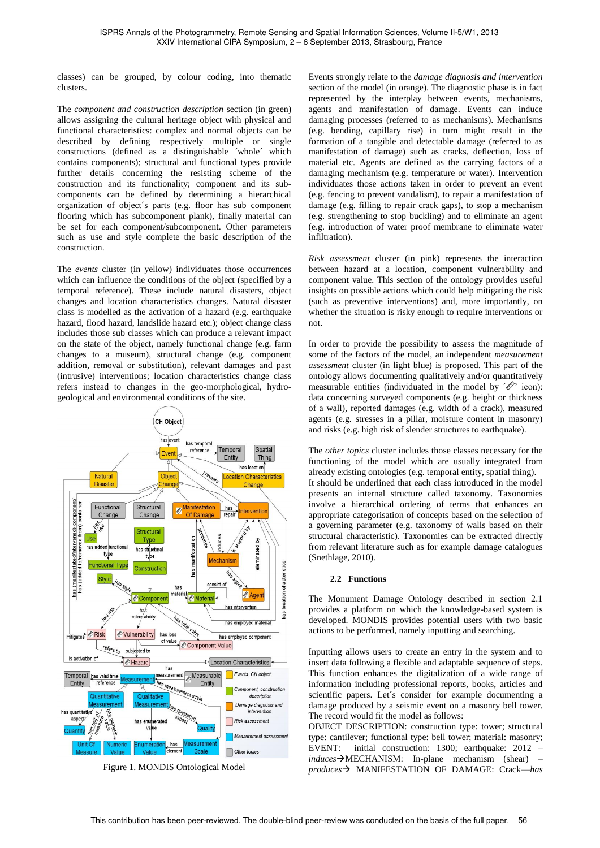classes) can be grouped, by colour coding, into thematic clusters.

The *component and construction description* section (in green) allows assigning the cultural heritage object with physical and functional characteristics: complex and normal objects can be described by defining respectively multiple or single constructions (defined as a distinguishable ´whole´ which contains components); structural and functional types provide further details concerning the resisting scheme of the construction and its functionality; component and its subcomponents can be defined by determining a hierarchical organization of object´s parts (e.g. floor has sub component flooring which has subcomponent plank), finally material can be set for each component/subcomponent. Other parameters such as use and style complete the basic description of the construction.

The *events* cluster (in yellow) individuates those occurrences which can influence the conditions of the object (specified by a temporal reference). These include natural disasters, object changes and location characteristics changes. Natural disaster class is modelled as the activation of a hazard (e.g. earthquake hazard, flood hazard, landslide hazard etc.); object change class includes those sub classes which can produce a relevant impact on the state of the object, namely functional change (e.g. farm changes to a museum), structural change (e.g. component addition, removal or substitution), relevant damages and past (intrusive) interventions; location characteristics change class refers instead to changes in the geo-morphological, hydrogeological and environmental conditions of the site.



Figure 1. MONDIS Ontological Model

Events strongly relate to the *damage diagnosis and intervention* section of the model (in orange). The diagnostic phase is in fact represented by the interplay between events, mechanisms, agents and manifestation of damage. Events can induce damaging processes (referred to as mechanisms). Mechanisms (e.g. bending, capillary rise) in turn might result in the formation of a tangible and detectable damage (referred to as manifestation of damage) such as cracks, deflection, loss of material etc. Agents are defined as the carrying factors of a damaging mechanism (e.g. temperature or water). Intervention individuates those actions taken in order to prevent an event (e.g. fencing to prevent vandalism), to repair a manifestation of damage (e.g. filling to repair crack gaps), to stop a mechanism (e.g. strengthening to stop buckling) and to eliminate an agent (e.g. introduction of water proof membrane to eliminate water infiltration).

*Risk assessment* cluster (in pink) represents the interaction between hazard at a location, component vulnerability and component value. This section of the ontology provides useful insights on possible actions which could help mitigating the risk (such as preventive interventions) and, more importantly, on whether the situation is risky enough to require interventions or not.

In order to provide the possibility to assess the magnitude of some of the factors of the model, an independent *measurement assessment* cluster (in light blue) is proposed. This part of the ontology allows documenting qualitatively and/or quantitatively measurable entities (individuated in the model by  $\mathcal{C}$  icon): data concerning surveyed components (e.g. height or thickness of a wall), reported damages (e.g. width of a crack), measured agents (e.g. stresses in a pillar, moisture content in masonry) and risks (e.g. high risk of slender structures to earthquake).

The *other topics* cluster includes those classes necessary for the functioning of the model which are usually integrated from already existing ontologies (e.g. temporal entity, spatial thing). It should be underlined that each class introduced in the model presents an internal structure called taxonomy. Taxonomies involve a hierarchical ordering of terms that enhances an appropriate categorisation of concepts based on the selection of a governing parameter (e.g. taxonomy of walls based on their structural characteristic). Taxonomies can be extracted directly from relevant literature such as for example damage catalogues (Snethlage, 2010).

#### **2.2 Functions**

The Monument Damage Ontology described in section 2.1 provides a platform on which the knowledge-based system is developed. MONDIS provides potential users with two basic actions to be performed, namely inputting and searching.

Inputting allows users to create an entry in the system and to insert data following a flexible and adaptable sequence of steps. This function enhances the digitalization of a wide range of information including professional reports, books, articles and scientific papers. Let´s consider for example documenting a damage produced by a seismic event on a masonry bell tower. The record would fit the model as follows:

OBJECT DESCRIPTION: construction type: tower; structural type: cantilever; functional type: bell tower; material: masonry; EVENT: initial construction: 1300; earthquake: 2012 – *induces* → MECHANISM: In-plane mechanism (shear) – *produces* MANIFESTATION OF DAMAGE: Crack—*has*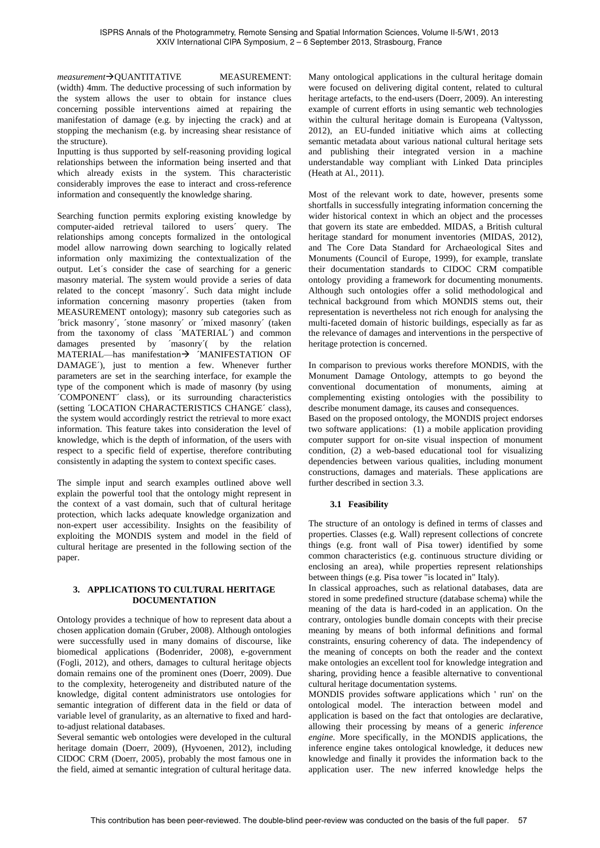measurement**>**QUANTITATIVE MEASUREMENT:

(width) 4mm. The deductive processing of such information by the system allows the user to obtain for instance clues concerning possible interventions aimed at repairing the manifestation of damage (e.g. by injecting the crack) and at stopping the mechanism (e.g. by increasing shear resistance of the structure).

Inputting is thus supported by self-reasoning providing logical relationships between the information being inserted and that which already exists in the system. This characteristic considerably improves the ease to interact and cross-reference information and consequently the knowledge sharing.

Searching function permits exploring existing knowledge by computer-aided retrieval tailored to users´ query. The relationships among concepts formalized in the ontological model allow narrowing down searching to logically related information only maximizing the contextualization of the output. Let´s consider the case of searching for a generic masonry material. The system would provide a series of data related to the concept ´masonry´. Such data might include information concerning masonry properties (taken from MEASUREMENT ontology); masonry sub categories such as ´brick masonry´, ´stone masonry´ or ´mixed masonry´ (taken from the taxonomy of class ´MATERIAL´) and common damages presented by ´masonry´( by the relation MATERIAL—has manifestation-> MANIFESTATION OF DAMAGE<sup>'</sup>), just to mention a few. Whenever further parameters are set in the searching interface, for example the type of the component which is made of masonry (by using ´COMPONENT´ class), or its surrounding characteristics (setting ´LOCATION CHARACTERISTICS CHANGE´ class), the system would accordingly restrict the retrieval to more exact information. This feature takes into consideration the level of knowledge, which is the depth of information, of the users with respect to a specific field of expertise, therefore contributing consistently in adapting the system to context specific cases.

The simple input and search examples outlined above well explain the powerful tool that the ontology might represent in the context of a vast domain, such that of cultural heritage protection, which lacks adequate knowledge organization and non-expert user accessibility. Insights on the feasibility of exploiting the MONDIS system and model in the field of cultural heritage are presented in the following section of the paper.

# **3. APPLICATIONS TO CULTURAL HERITAGE DOCUMENTATION**

Ontology provides a technique of how to represent data about a chosen application domain (Gruber, 2008). Although ontologies were successfully used in many domains of discourse, like biomedical applications (Bodenrider, 2008), e-government (Fogli, 2012), and others, damages to cultural heritage objects domain remains one of the prominent ones (Doerr, 2009). Due to the complexity, heterogeneity and distributed nature of the knowledge, digital content administrators use ontologies for semantic integration of different data in the field or data of variable level of granularity, as an alternative to fixed and hardto-adjust relational databases.

Several semantic web ontologies were developed in the cultural heritage domain (Doerr, 2009), (Hyvoenen, 2012), including CIDOC CRM (Doerr, 2005), probably the most famous one in the field, aimed at semantic integration of cultural heritage data.

Many ontological applications in the cultural heritage domain were focused on delivering digital content, related to cultural heritage artefacts, to the end-users (Doerr, 2009). An interesting example of current efforts in using semantic web technologies within the cultural heritage domain is Europeana (Valtysson, 2012), an EU-funded initiative which aims at collecting semantic metadata about various national cultural heritage sets and publishing their integrated version in a machine understandable way compliant with Linked Data principles (Heath at Al., 2011).

Most of the relevant work to date, however, presents some shortfalls in successfully integrating information concerning the wider historical context in which an object and the processes that govern its state are embedded. MIDAS, a British cultural heritage standard for monument inventories (MIDAS, 2012), and The Core Data Standard for Archaeological Sites and Monuments (Council of Europe, 1999), for example, translate their documentation standards to CIDOC CRM compatible ontology providing a framework for documenting monuments. Although such ontologies offer a solid methodological and technical background from which MONDIS stems out, their representation is nevertheless not rich enough for analysing the multi-faceted domain of historic buildings, especially as far as the relevance of damages and interventions in the perspective of heritage protection is concerned.

In comparison to previous works therefore MONDIS, with the Monument Damage Ontology, attempts to go beyond the conventional documentation of monuments, aiming at complementing existing ontologies with the possibility to describe monument damage, its causes and consequences.

Based on the proposed ontology, the MONDIS project endorses two software applications: (1) a mobile application providing computer support for on-site visual inspection of monument condition, (2) a web-based educational tool for visualizing dependencies between various qualities, including monument constructions, damages and materials. These applications are further described in section 3.3.

# **3.1 Feasibility**

The structure of an ontology is defined in terms of classes and properties. Classes (e.g. Wall) represent collections of concrete things (e.g. front wall of Pisa tower) identified by some common characteristics (e.g. continuous structure dividing or enclosing an area), while properties represent relationships between things (e.g. Pisa tower "is located in" Italy).

In classical approaches, such as relational databases, data are stored in some predefined structure (database schema) while the meaning of the data is hard-coded in an application. On the contrary, ontologies bundle domain concepts with their precise meaning by means of both informal definitions and formal constraints, ensuring coherency of data. The independency of the meaning of concepts on both the reader and the context make ontologies an excellent tool for knowledge integration and sharing, providing hence a feasible alternative to conventional cultural heritage documentation systems.

MONDIS provides software applications which ' run' on the ontological model. The interaction between model and application is based on the fact that ontologies are declarative, allowing their processing by means of a generic *inference engine*. More specifically, in the MONDIS applications, the inference engine takes ontological knowledge, it deduces new knowledge and finally it provides the information back to the application user. The new inferred knowledge helps the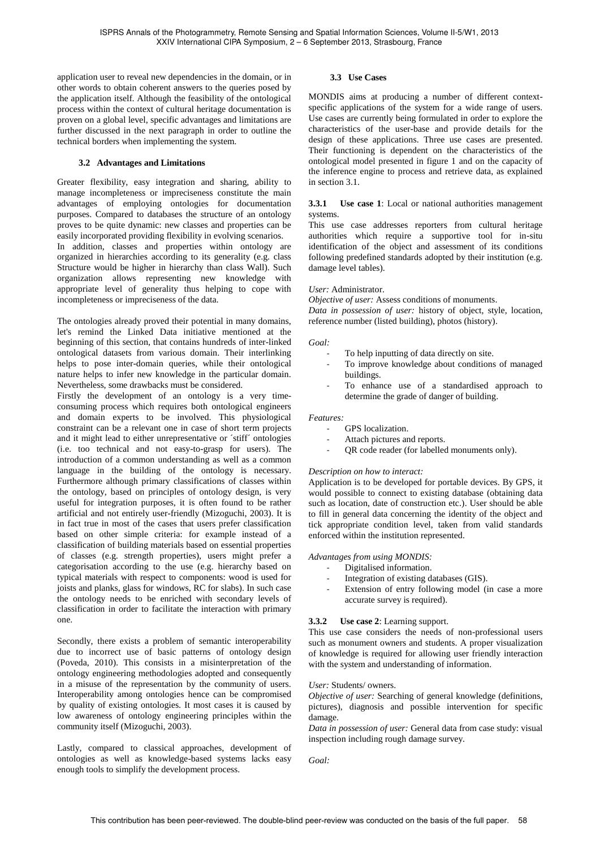application user to reveal new dependencies in the domain, or in other words to obtain coherent answers to the queries posed by the application itself. Although the feasibility of the ontological process within the context of cultural heritage documentation is proven on a global level, specific advantages and limitations are further discussed in the next paragraph in order to outline the technical borders when implementing the system.

# **3.2 Advantages and Limitations**

Greater flexibility, easy integration and sharing, ability to manage incompleteness or impreciseness constitute the main advantages of employing ontologies for documentation purposes. Compared to databases the structure of an ontology proves to be quite dynamic: new classes and properties can be easily incorporated providing flexibility in evolving scenarios.

In addition, classes and properties within ontology are organized in hierarchies according to its generality (e.g. class Structure would be higher in hierarchy than class Wall). Such organization allows representing new knowledge with appropriate level of generality thus helping to cope with incompleteness or impreciseness of the data.

The ontologies already proved their potential in many domains, let's remind the Linked Data initiative mentioned at the beginning of this section, that contains hundreds of inter-linked ontological datasets from various domain. Their interlinking helps to pose inter-domain queries, while their ontological nature helps to infer new knowledge in the particular domain. Nevertheless, some drawbacks must be considered.

Firstly the development of an ontology is a very timeconsuming process which requires both ontological engineers and domain experts to be involved. This physiological constraint can be a relevant one in case of short term projects and it might lead to either unrepresentative or ´stiff´ ontologies (i.e. too technical and not easy-to-grasp for users). The introduction of a common understanding as well as a common language in the building of the ontology is necessary. Furthermore although primary classifications of classes within the ontology, based on principles of ontology design, is very useful for integration purposes, it is often found to be rather artificial and not entirely user-friendly (Mizoguchi, 2003). It is in fact true in most of the cases that users prefer classification based on other simple criteria: for example instead of a classification of building materials based on essential properties of classes (e.g. strength properties), users might prefer a categorisation according to the use (e.g. hierarchy based on typical materials with respect to components: wood is used for joists and planks, glass for windows, RC for slabs). In such case the ontology needs to be enriched with secondary levels of classification in order to facilitate the interaction with primary one.

Secondly, there exists a problem of semantic interoperability due to incorrect use of basic patterns of ontology design (Poveda, 2010). This consists in a misinterpretation of the ontology engineering methodologies adopted and consequently in a misuse of the representation by the community of users. Interoperability among ontologies hence can be compromised by quality of existing ontologies. It most cases it is caused by low awareness of ontology engineering principles within the community itself (Mizoguchi, 2003).

Lastly, compared to classical approaches, development of ontologies as well as knowledge-based systems lacks easy enough tools to simplify the development process.

# **3.3 Use Cases**

MONDIS aims at producing a number of different contextspecific applications of the system for a wide range of users. Use cases are currently being formulated in order to explore the characteristics of the user-base and provide details for the design of these applications. Three use cases are presented. Their functioning is dependent on the characteristics of the ontological model presented in figure 1 and on the capacity of the inference engine to process and retrieve data, as explained in section 3.1.

#### **3.3.1 Use case 1**: Local or national authorities management systems.

This use case addresses reporters from cultural heritage authorities which require a supportive tool for in-situ identification of the object and assessment of its conditions following predefined standards adopted by their institution (e.g. damage level tables).

# *User:* Administrator.

*Objective of user:* Assess conditions of monuments. *Data in possession of user:* history of object, style, location, reference number (listed building), photos (history).

# *Goal:*

- To help inputting of data directly on site.
- To improve knowledge about conditions of managed buildings.
- To enhance use of a standardised approach to determine the grade of danger of building.

#### *Features:*

- GPS localization.
- Attach pictures and reports.
- QR code reader (for labelled monuments only).

# *Description on how to interact:*

Application is to be developed for portable devices. By GPS, it would possible to connect to existing database (obtaining data such as location, date of construction etc.). User should be able to fill in general data concerning the identity of the object and tick appropriate condition level, taken from valid standards enforced within the institution represented.

# *Advantages from using MONDIS:*

- Digitalised information.
- Integration of existing databases (GIS).
- Extension of entry following model (in case a more accurate survey is required).

# **3.3.2 Use case 2**: Learning support.

This use case considers the needs of non-professional users such as monument owners and students. A proper visualization of knowledge is required for allowing user friendly interaction with the system and understanding of information.

#### *User:* Students/ owners.

*Objective of user:* Searching of general knowledge (definitions, pictures), diagnosis and possible intervention for specific damage.

*Data in possession of user:* General data from case study: visual inspection including rough damage survey.

*Goal:*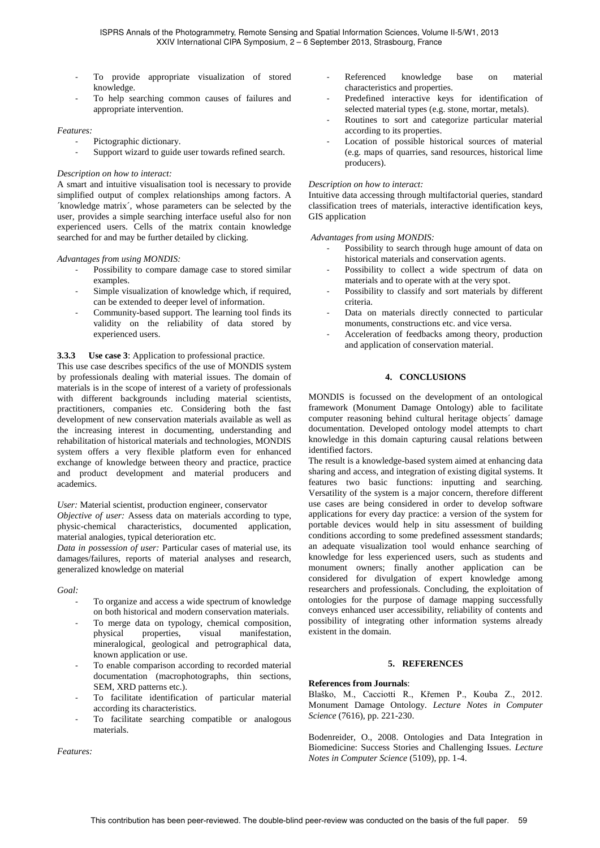- To provide appropriate visualization of stored knowledge.
- To help searching common causes of failures and appropriate intervention.

#### *Features:*

- Pictographic dictionary.
- Support wizard to guide user towards refined search.

#### *Description on how to interact:*

A smart and intuitive visualisation tool is necessary to provide simplified output of complex relationships among factors. A ´knowledge matrix´, whose parameters can be selected by the user, provides a simple searching interface useful also for non experienced users. Cells of the matrix contain knowledge searched for and may be further detailed by clicking.

# *Advantages from using MONDIS:*

- Possibility to compare damage case to stored similar examples.
- Simple visualization of knowledge which, if required, can be extended to deeper level of information.
- Community-based support. The learning tool finds its validity on the reliability of data stored by experienced users.

# **3.3.3 Use case 3**: Application to professional practice.

This use case describes specifics of the use of MONDIS system by professionals dealing with material issues. The domain of materials is in the scope of interest of a variety of professionals with different backgrounds including material scientists, practitioners, companies etc. Considering both the fast development of new conservation materials available as well as the increasing interest in documenting, understanding and rehabilitation of historical materials and technologies, MONDIS system offers a very flexible platform even for enhanced exchange of knowledge between theory and practice, practice and product development and material producers and academics.

*User:* Material scientist, production engineer, conservator

*Objective of user:* Assess data on materials according to type, physic-chemical characteristics, documented application, material analogies, typical deterioration etc.

*Data in possession of user:* Particular cases of material use, its damages/failures, reports of material analyses and research, generalized knowledge on material

*Goal:*

- To organize and access a wide spectrum of knowledge on both historical and modern conservation materials.
- To merge data on typology, chemical composition, physical properties, visual manifestation, mineralogical, geological and petrographical data, known application or use.
- To enable comparison according to recorded material documentation (macrophotographs, thin sections, SEM, XRD patterns etc.).
- To facilitate identification of particular material according its characteristics.
- To facilitate searching compatible or analogous materials.

*Features:* 

- Referenced knowledge base on material characteristics and properties.
- Predefined interactive keys for identification of selected material types (e.g. stone, mortar, metals).
- Routines to sort and categorize particular material according to its properties.
- Location of possible historical sources of material (e.g. maps of quarries, sand resources, historical lime producers).

#### *Description on how to interact:*

Intuitive data accessing through multifactorial queries, standard classification trees of materials, interactive identification keys, GIS application

#### *Advantages from using MONDIS:*

- Possibility to search through huge amount of data on historical materials and conservation agents.
- Possibility to collect a wide spectrum of data on materials and to operate with at the very spot.
- Possibility to classify and sort materials by different criteria.
- Data on materials directly connected to particular monuments, constructions etc. and vice versa.
- Acceleration of feedbacks among theory, production and application of conservation material.

# **4. CONCLUSIONS**

MONDIS is focussed on the development of an ontological framework (Monument Damage Ontology) able to facilitate computer reasoning behind cultural heritage objects´ damage documentation. Developed ontology model attempts to chart knowledge in this domain capturing causal relations between identified factors.

The result is a knowledge-based system aimed at enhancing data sharing and access, and integration of existing digital systems. It features two basic functions: inputting and searching. Versatility of the system is a major concern, therefore different use cases are being considered in order to develop software applications for every day practice: a version of the system for portable devices would help in situ assessment of building conditions according to some predefined assessment standards; an adequate visualization tool would enhance searching of knowledge for less experienced users, such as students and monument owners; finally another application can be considered for divulgation of expert knowledge among researchers and professionals. Concluding, the exploitation of ontologies for the purpose of damage mapping successfully conveys enhanced user accessibility, reliability of contents and possibility of integrating other information systems already existent in the domain.

#### **5. REFERENCES**

#### **References from Journals**:

Blaško, M., Cacciotti R., Křemen P., Kouba Z., 2012. Monument Damage Ontology. *Lecture Notes in Computer Science* (7616), pp. 221-230.

Bodenreider, O., 2008. Ontologies and Data Integration in Biomedicine: Success Stories and Challenging Issues. *Lecture Notes in Computer Science* (5109), pp. 1-4.